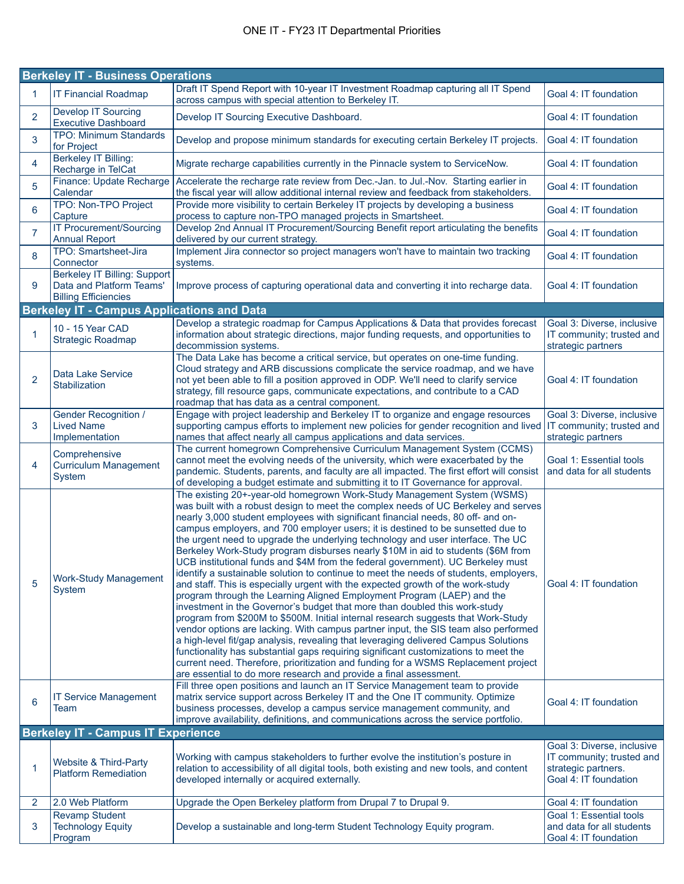| <b>Berkeley IT - Business Operations</b> |                                                                                                |                                                                                                                                                                                                                                                                                                                                                                                                                                                                                                                                                                                                                                                                                                                                                                                                                                                                                                                                                                                                                                                                                                                                                                                                                                                                                                                                                                                                                                                        |                                                                                                         |
|------------------------------------------|------------------------------------------------------------------------------------------------|--------------------------------------------------------------------------------------------------------------------------------------------------------------------------------------------------------------------------------------------------------------------------------------------------------------------------------------------------------------------------------------------------------------------------------------------------------------------------------------------------------------------------------------------------------------------------------------------------------------------------------------------------------------------------------------------------------------------------------------------------------------------------------------------------------------------------------------------------------------------------------------------------------------------------------------------------------------------------------------------------------------------------------------------------------------------------------------------------------------------------------------------------------------------------------------------------------------------------------------------------------------------------------------------------------------------------------------------------------------------------------------------------------------------------------------------------------|---------------------------------------------------------------------------------------------------------|
| 1                                        | <b>IT Financial Roadmap</b>                                                                    | Draft IT Spend Report with 10-year IT Investment Roadmap capturing all IT Spend<br>across campus with special attention to Berkeley IT.                                                                                                                                                                                                                                                                                                                                                                                                                                                                                                                                                                                                                                                                                                                                                                                                                                                                                                                                                                                                                                                                                                                                                                                                                                                                                                                | Goal 4: IT foundation                                                                                   |
| $\overline{2}$                           | <b>Develop IT Sourcing</b><br><b>Executive Dashboard</b>                                       | Develop IT Sourcing Executive Dashboard.                                                                                                                                                                                                                                                                                                                                                                                                                                                                                                                                                                                                                                                                                                                                                                                                                                                                                                                                                                                                                                                                                                                                                                                                                                                                                                                                                                                                               | Goal 4: IT foundation                                                                                   |
| 3                                        | <b>TPO: Minimum Standards</b><br>for Project                                                   | Develop and propose minimum standards for executing certain Berkeley IT projects.                                                                                                                                                                                                                                                                                                                                                                                                                                                                                                                                                                                                                                                                                                                                                                                                                                                                                                                                                                                                                                                                                                                                                                                                                                                                                                                                                                      | Goal 4: IT foundation                                                                                   |
| 4                                        | <b>Berkeley IT Billing:</b><br>Recharge in TelCat                                              | Migrate recharge capabilities currently in the Pinnacle system to ServiceNow.                                                                                                                                                                                                                                                                                                                                                                                                                                                                                                                                                                                                                                                                                                                                                                                                                                                                                                                                                                                                                                                                                                                                                                                                                                                                                                                                                                          | Goal 4: IT foundation                                                                                   |
| 5                                        | Finance: Update Recharge<br>Calendar                                                           | Accelerate the recharge rate review from Dec.-Jan. to Jul.-Nov. Starting earlier in<br>the fiscal year will allow additional internal review and feedback from stakeholders.                                                                                                                                                                                                                                                                                                                                                                                                                                                                                                                                                                                                                                                                                                                                                                                                                                                                                                                                                                                                                                                                                                                                                                                                                                                                           | Goal 4: IT foundation                                                                                   |
| 6                                        | TPO: Non-TPO Project<br>Capture                                                                | Provide more visibility to certain Berkeley IT projects by developing a business<br>process to capture non-TPO managed projects in Smartsheet.                                                                                                                                                                                                                                                                                                                                                                                                                                                                                                                                                                                                                                                                                                                                                                                                                                                                                                                                                                                                                                                                                                                                                                                                                                                                                                         | Goal 4: IT foundation                                                                                   |
| $\overline{7}$                           | <b>IT Procurement/Sourcing</b><br><b>Annual Report</b>                                         | Develop 2nd Annual IT Procurement/Sourcing Benefit report articulating the benefits<br>delivered by our current strategy.                                                                                                                                                                                                                                                                                                                                                                                                                                                                                                                                                                                                                                                                                                                                                                                                                                                                                                                                                                                                                                                                                                                                                                                                                                                                                                                              | Goal 4: IT foundation                                                                                   |
| 8                                        | TPO: Smartsheet-Jira<br>Connector                                                              | Implement Jira connector so project managers won't have to maintain two tracking<br>systems.                                                                                                                                                                                                                                                                                                                                                                                                                                                                                                                                                                                                                                                                                                                                                                                                                                                                                                                                                                                                                                                                                                                                                                                                                                                                                                                                                           | Goal 4: IT foundation                                                                                   |
| 9                                        | <b>Berkeley IT Billing: Support</b><br>Data and Platform Teams'<br><b>Billing Efficiencies</b> | Improve process of capturing operational data and converting it into recharge data.                                                                                                                                                                                                                                                                                                                                                                                                                                                                                                                                                                                                                                                                                                                                                                                                                                                                                                                                                                                                                                                                                                                                                                                                                                                                                                                                                                    | Goal 4: IT foundation                                                                                   |
|                                          | <b>Berkeley IT - Campus Applications and Data</b>                                              |                                                                                                                                                                                                                                                                                                                                                                                                                                                                                                                                                                                                                                                                                                                                                                                                                                                                                                                                                                                                                                                                                                                                                                                                                                                                                                                                                                                                                                                        |                                                                                                         |
| 1                                        | 10 - 15 Year CAD<br><b>Strategic Roadmap</b>                                                   | Develop a strategic roadmap for Campus Applications & Data that provides forecast<br>information about strategic directions, major funding requests, and opportunities to<br>decommission systems.                                                                                                                                                                                                                                                                                                                                                                                                                                                                                                                                                                                                                                                                                                                                                                                                                                                                                                                                                                                                                                                                                                                                                                                                                                                     | Goal 3: Diverse, inclusive<br>IT community; trusted and<br>strategic partners                           |
| $\overline{2}$                           | Data Lake Service<br>Stabilization                                                             | The Data Lake has become a critical service, but operates on one-time funding.<br>Cloud strategy and ARB discussions complicate the service roadmap, and we have<br>not yet been able to fill a position approved in ODP. We'll need to clarify service<br>strategy, fill resource gaps, communicate expectations, and contribute to a CAD<br>roadmap that has data as a central component.                                                                                                                                                                                                                                                                                                                                                                                                                                                                                                                                                                                                                                                                                                                                                                                                                                                                                                                                                                                                                                                            | Goal 4: IT foundation                                                                                   |
| 3                                        | Gender Recognition /<br><b>Lived Name</b><br>Implementation                                    | Engage with project leadership and Berkeley IT to organize and engage resources<br>supporting campus efforts to implement new policies for gender recognition and lived   IT community; trusted and<br>names that affect nearly all campus applications and data services.                                                                                                                                                                                                                                                                                                                                                                                                                                                                                                                                                                                                                                                                                                                                                                                                                                                                                                                                                                                                                                                                                                                                                                             | Goal 3: Diverse, inclusive<br>strategic partners                                                        |
| 4                                        | Comprehensive<br><b>Curriculum Management</b><br>System                                        | The current homegrown Comprehensive Curriculum Management System (CCMS)<br>cannot meet the evolving needs of the university, which were exacerbated by the<br>pandemic. Students, parents, and faculty are all impacted. The first effort will consist<br>of developing a budget estimate and submitting it to IT Governance for approval.                                                                                                                                                                                                                                                                                                                                                                                                                                                                                                                                                                                                                                                                                                                                                                                                                                                                                                                                                                                                                                                                                                             | Goal 1: Essential tools<br>and data for all students                                                    |
| 5                                        | <b>Work-Study Management</b><br>System                                                         | The existing 20+-year-old homegrown Work-Study Management System (WSMS)<br>was built with a robust design to meet the complex needs of UC Berkeley and serves<br>nearly 3,000 student employees with significant financial needs, 80 off- and on-<br>campus employers, and 700 employer users; it is destined to be sunsetted due to<br>the urgent need to upgrade the underlying technology and user interface. The UC<br>Berkeley Work-Study program disburses nearly \$10M in aid to students (\$6M from<br>UCB institutional funds and \$4M from the federal government). UC Berkeley must<br>identify a sustainable solution to continue to meet the needs of students, employers,<br>and staff. This is especially urgent with the expected growth of the work-study<br>program through the Learning Aligned Employment Program (LAEP) and the<br>investment in the Governor's budget that more than doubled this work-study<br>program from \$200M to \$500M. Initial internal research suggests that Work-Study<br>vendor options are lacking. With campus partner input, the SIS team also performed<br>a high-level fit/gap analysis, revealing that leveraging delivered Campus Solutions<br>functionality has substantial gaps requiring significant customizations to meet the<br>current need. Therefore, prioritization and funding for a WSMS Replacement project<br>are essential to do more research and provide a final assessment. | Goal 4: IT foundation                                                                                   |
| 6                                        | <b>IT Service Management</b><br>Team                                                           | Fill three open positions and launch an IT Service Management team to provide<br>matrix service support across Berkeley IT and the One IT community. Optimize<br>business processes, develop a campus service management community, and<br>improve availability, definitions, and communications across the service portfolio.                                                                                                                                                                                                                                                                                                                                                                                                                                                                                                                                                                                                                                                                                                                                                                                                                                                                                                                                                                                                                                                                                                                         | Goal 4: IT foundation                                                                                   |
|                                          | <b>Berkeley IT - Campus IT Experience</b>                                                      |                                                                                                                                                                                                                                                                                                                                                                                                                                                                                                                                                                                                                                                                                                                                                                                                                                                                                                                                                                                                                                                                                                                                                                                                                                                                                                                                                                                                                                                        |                                                                                                         |
| 1                                        | Website & Third-Party<br><b>Platform Remediation</b>                                           | Working with campus stakeholders to further evolve the institution's posture in<br>relation to accessibility of all digital tools, both existing and new tools, and content<br>developed internally or acquired externally.                                                                                                                                                                                                                                                                                                                                                                                                                                                                                                                                                                                                                                                                                                                                                                                                                                                                                                                                                                                                                                                                                                                                                                                                                            | Goal 3: Diverse, inclusive<br>IT community; trusted and<br>strategic partners.<br>Goal 4: IT foundation |
| 2                                        | 2.0 Web Platform                                                                               | Upgrade the Open Berkeley platform from Drupal 7 to Drupal 9.                                                                                                                                                                                                                                                                                                                                                                                                                                                                                                                                                                                                                                                                                                                                                                                                                                                                                                                                                                                                                                                                                                                                                                                                                                                                                                                                                                                          | Goal 4: IT foundation                                                                                   |
| 3                                        | <b>Revamp Student</b><br><b>Technology Equity</b><br>Program                                   | Develop a sustainable and long-term Student Technology Equity program.                                                                                                                                                                                                                                                                                                                                                                                                                                                                                                                                                                                                                                                                                                                                                                                                                                                                                                                                                                                                                                                                                                                                                                                                                                                                                                                                                                                 | Goal 1: Essential tools<br>and data for all students<br>Goal 4: IT foundation                           |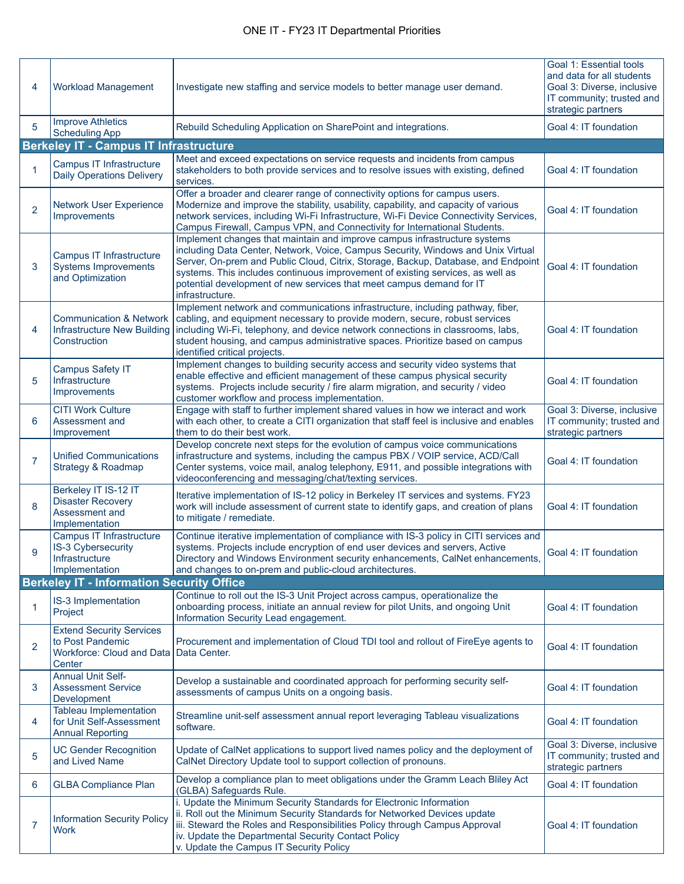| 4              | <b>Workload Management</b>                                                                        | Investigate new staffing and service models to better manage user demand.                                                                                                                                                                                                                                                                                                                                                       | Goal 1: Essential tools<br>and data for all students<br>Goal 3: Diverse, inclusive<br>IT community; trusted and<br>strategic partners |
|----------------|---------------------------------------------------------------------------------------------------|---------------------------------------------------------------------------------------------------------------------------------------------------------------------------------------------------------------------------------------------------------------------------------------------------------------------------------------------------------------------------------------------------------------------------------|---------------------------------------------------------------------------------------------------------------------------------------|
| 5              | <b>Improve Athletics</b><br><b>Scheduling App</b>                                                 | Rebuild Scheduling Application on SharePoint and integrations.                                                                                                                                                                                                                                                                                                                                                                  | Goal 4: IT foundation                                                                                                                 |
|                | <b>Berkeley IT - Campus IT Infrastructure</b>                                                     |                                                                                                                                                                                                                                                                                                                                                                                                                                 |                                                                                                                                       |
| 1              | Campus IT Infrastructure<br><b>Daily Operations Delivery</b>                                      | Meet and exceed expectations on service requests and incidents from campus<br>stakeholders to both provide services and to resolve issues with existing, defined<br>services.                                                                                                                                                                                                                                                   | Goal 4: IT foundation                                                                                                                 |
| $\overline{2}$ | <b>Network User Experience</b><br>Improvements                                                    | Offer a broader and clearer range of connectivity options for campus users.<br>Modernize and improve the stability, usability, capability, and capacity of various<br>network services, including Wi-Fi Infrastructure, Wi-Fi Device Connectivity Services,<br>Campus Firewall, Campus VPN, and Connectivity for International Students.                                                                                        | Goal 4: IT foundation                                                                                                                 |
| 3              | Campus IT Infrastructure<br><b>Systems Improvements</b><br>and Optimization                       | Implement changes that maintain and improve campus infrastructure systems<br>including Data Center, Network, Voice, Campus Security, Windows and Unix Virtual<br>Server, On-prem and Public Cloud, Citrix, Storage, Backup, Database, and Endpoint<br>systems. This includes continuous improvement of existing services, as well as<br>potential development of new services that meet campus demand for IT<br>infrastructure. | Goal 4: IT foundation                                                                                                                 |
| 4              | <b>Communication &amp; Network</b><br><b>Infrastructure New Building</b><br>Construction          | Implement network and communications infrastructure, including pathway, fiber,<br>cabling, and equipment necessary to provide modern, secure, robust services<br>including Wi-Fi, telephony, and device network connections in classrooms, labs,<br>student housing, and campus administrative spaces. Prioritize based on campus<br>identified critical projects.                                                              | Goal 4: IT foundation                                                                                                                 |
| 5              | <b>Campus Safety IT</b><br>Infrastructure<br>Improvements                                         | Implement changes to building security access and security video systems that<br>enable effective and efficient management of these campus physical security<br>systems. Projects include security / fire alarm migration, and security / video<br>customer workflow and process implementation.                                                                                                                                | Goal 4: IT foundation                                                                                                                 |
| 6              | <b>CITI Work Culture</b><br>Assessment and<br>Improvement                                         | Engage with staff to further implement shared values in how we interact and work<br>with each other, to create a CITI organization that staff feel is inclusive and enables<br>them to do their best work.                                                                                                                                                                                                                      | Goal 3: Diverse, inclusive<br>IT community; trusted and<br>strategic partners                                                         |
| $\overline{7}$ | <b>Unified Communications</b><br>Strategy & Roadmap                                               | Develop concrete next steps for the evolution of campus voice communications<br>infrastructure and systems, including the campus PBX / VOIP service, ACD/Call<br>Center systems, voice mail, analog telephony, E911, and possible integrations with<br>videoconferencing and messaging/chat/texting services.                                                                                                                   | Goal 4: IT foundation                                                                                                                 |
| 8              | Berkeley IT IS-12 IT<br><b>Disaster Recovery</b><br>Assessment and<br>Implementation              | Iterative implementation of IS-12 policy in Berkeley IT services and systems. FY23<br>work will include assessment of current state to identify gaps, and creation of plans<br>to mitigate / remediate.                                                                                                                                                                                                                         | Goal 4: IT foundation                                                                                                                 |
| 9              | Campus IT Infrastructure<br><b>IS-3 Cybersecurity</b><br>Infrastructure<br>Implementation         | Continue iterative implementation of compliance with IS-3 policy in CITI services and<br>systems. Projects include encryption of end user devices and servers, Active<br>Directory and Windows Environment security enhancements, CalNet enhancements,<br>and changes to on-prem and public-cloud architectures.                                                                                                                | Goal 4: IT foundation                                                                                                                 |
|                | <b>Berkeley IT - Information Security Office</b>                                                  |                                                                                                                                                                                                                                                                                                                                                                                                                                 |                                                                                                                                       |
| 1              | IS-3 Implementation<br>Project                                                                    | Continue to roll out the IS-3 Unit Project across campus, operationalize the<br>onboarding process, initiate an annual review for pilot Units, and ongoing Unit<br>Information Security Lead engagement.                                                                                                                                                                                                                        | Goal 4: IT foundation                                                                                                                 |
| $\overline{2}$ | <b>Extend Security Services</b><br>to Post Pandemic<br><b>Workforce: Cloud and Data</b><br>Center | Procurement and implementation of Cloud TDI tool and rollout of FireEye agents to<br>Data Center.                                                                                                                                                                                                                                                                                                                               | Goal 4: IT foundation                                                                                                                 |
| 3              | <b>Annual Unit Self-</b><br><b>Assessment Service</b><br>Development                              | Develop a sustainable and coordinated approach for performing security self-<br>assessments of campus Units on a ongoing basis.                                                                                                                                                                                                                                                                                                 | Goal 4: IT foundation                                                                                                                 |
| 4              | <b>Tableau Implementation</b><br>for Unit Self-Assessment<br><b>Annual Reporting</b>              | Streamline unit-self assessment annual report leveraging Tableau visualizations<br>software.                                                                                                                                                                                                                                                                                                                                    | Goal 4: IT foundation                                                                                                                 |
| 5              | <b>UC Gender Recognition</b><br>and Lived Name                                                    | Update of CalNet applications to support lived names policy and the deployment of<br>CalNet Directory Update tool to support collection of pronouns.                                                                                                                                                                                                                                                                            | Goal 3: Diverse, inclusive<br>IT community; trusted and<br>strategic partners                                                         |
| 6              | <b>GLBA Compliance Plan</b>                                                                       | Develop a compliance plan to meet obligations under the Gramm Leach Bliley Act<br>(GLBA) Safeguards Rule.                                                                                                                                                                                                                                                                                                                       | Goal 4: IT foundation                                                                                                                 |
| $\overline{7}$ | <b>Information Security Policy</b><br><b>Work</b>                                                 | i. Update the Minimum Security Standards for Electronic Information<br>ii. Roll out the Minimum Security Standards for Networked Devices update<br>iii. Steward the Roles and Responsibilities Policy through Campus Approval<br>iv. Update the Departmental Security Contact Policy<br>v. Update the Campus IT Security Policy                                                                                                 | Goal 4: IT foundation                                                                                                                 |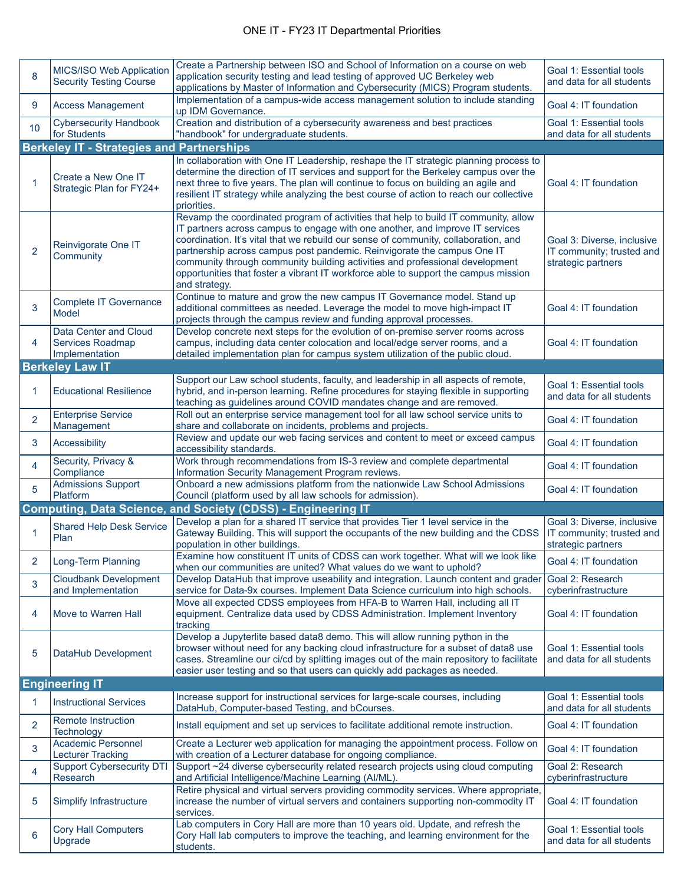| 8              | MICS/ISO Web Application<br><b>Security Testing Course</b>  | Create a Partnership between ISO and School of Information on a course on web<br>application security testing and lead testing of approved UC Berkeley web<br>applications by Master of Information and Cybersecurity (MICS) Program students.                                                                                                                                                                                                                                                                                 | Goal 1: Essential tools<br>and data for all students                          |
|----------------|-------------------------------------------------------------|--------------------------------------------------------------------------------------------------------------------------------------------------------------------------------------------------------------------------------------------------------------------------------------------------------------------------------------------------------------------------------------------------------------------------------------------------------------------------------------------------------------------------------|-------------------------------------------------------------------------------|
| 9              | <b>Access Management</b>                                    | Implementation of a campus-wide access management solution to include standing<br>up IDM Governance.                                                                                                                                                                                                                                                                                                                                                                                                                           | Goal 4: IT foundation                                                         |
| 10             | <b>Cybersecurity Handbook</b><br>for Students               | Creation and distribution of a cybersecurity awareness and best practices<br>"handbook" for undergraduate students.                                                                                                                                                                                                                                                                                                                                                                                                            | Goal 1: Essential tools<br>and data for all students                          |
|                | <b>Berkeley IT - Strategies and Partnerships</b>            |                                                                                                                                                                                                                                                                                                                                                                                                                                                                                                                                |                                                                               |
| -1             | Create a New One IT<br>Strategic Plan for FY24+             | In collaboration with One IT Leadership, reshape the IT strategic planning process to<br>determine the direction of IT services and support for the Berkeley campus over the<br>next three to five years. The plan will continue to focus on building an agile and<br>resilient IT strategy while analyzing the best course of action to reach our collective<br>priorities.                                                                                                                                                   | Goal 4: IT foundation                                                         |
| 2              | Reinvigorate One IT<br>Community                            | Revamp the coordinated program of activities that help to build IT community, allow<br>IT partners across campus to engage with one another, and improve IT services<br>coordination. It's vital that we rebuild our sense of community, collaboration, and<br>partnership across campus post pandemic. Reinvigorate the campus One IT<br>community through community building activities and professional development<br>opportunities that foster a vibrant IT workforce able to support the campus mission<br>and strategy. | Goal 3: Diverse, inclusive<br>IT community; trusted and<br>strategic partners |
| 3              | <b>Complete IT Governance</b><br>Model                      | Continue to mature and grow the new campus IT Governance model. Stand up<br>additional committees as needed. Leverage the model to move high-impact IT<br>projects through the campus review and funding approval processes.                                                                                                                                                                                                                                                                                                   | Goal 4: IT foundation                                                         |
| 4              | Data Center and Cloud<br>Services Roadmap<br>Implementation | Develop concrete next steps for the evolution of on-premise server rooms across<br>campus, including data center colocation and local/edge server rooms, and a<br>detailed implementation plan for campus system utilization of the public cloud.                                                                                                                                                                                                                                                                              | Goal 4: IT foundation                                                         |
|                | <b>Berkeley Law IT</b>                                      |                                                                                                                                                                                                                                                                                                                                                                                                                                                                                                                                |                                                                               |
| 1              | <b>Educational Resilience</b>                               | Support our Law school students, faculty, and leadership in all aspects of remote,<br>hybrid, and in-person learning. Refine procedures for staying flexible in supporting<br>teaching as guidelines around COVID mandates change and are removed.                                                                                                                                                                                                                                                                             | Goal 1: Essential tools<br>and data for all students                          |
| $\overline{2}$ | <b>Enterprise Service</b><br>Management                     | Roll out an enterprise service management tool for all law school service units to<br>share and collaborate on incidents, problems and projects.                                                                                                                                                                                                                                                                                                                                                                               | Goal 4: IT foundation                                                         |
| 3              | Accessibility                                               | Review and update our web facing services and content to meet or exceed campus<br>accessibility standards.                                                                                                                                                                                                                                                                                                                                                                                                                     | Goal 4: IT foundation                                                         |
| 4              | Security, Privacy &<br>Compliance                           | Work through recommendations from IS-3 review and complete departmental<br>Information Security Management Program reviews.                                                                                                                                                                                                                                                                                                                                                                                                    | Goal 4: IT foundation                                                         |
| 5              | <b>Admissions Support</b><br>Platform                       | Onboard a new admissions platform from the nationwide Law School Admissions<br>Council (platform used by all law schools for admission).                                                                                                                                                                                                                                                                                                                                                                                       | Goal 4: IT foundation                                                         |
|                |                                                             | <b>Computing, Data Science, and Society (CDSS) - Engineering IT</b>                                                                                                                                                                                                                                                                                                                                                                                                                                                            |                                                                               |
| 1              | <b>Shared Help Desk Service</b><br>Plan                     | Develop a plan for a shared IT service that provides Tier 1 level service in the<br>Gateway Building. This will support the occupants of the new building and the CDSS<br>population in other buildings.                                                                                                                                                                                                                                                                                                                       | Goal 3: Diverse, inclusive<br>IT community; trusted and<br>strategic partners |
| 2              | Long-Term Planning                                          | Examine how constituent IT units of CDSS can work together. What will we look like<br>when our communities are united? What values do we want to uphold?                                                                                                                                                                                                                                                                                                                                                                       | Goal 4: IT foundation                                                         |
| 3              | <b>Cloudbank Development</b><br>and Implementation          | Develop DataHub that improve useability and integration. Launch content and grader<br>service for Data-9x courses. Implement Data Science curriculum into high schools.                                                                                                                                                                                                                                                                                                                                                        | Goal 2: Research<br>cyberinfrastructure                                       |
| 4              | Move to Warren Hall                                         | Move all expected CDSS employees from HFA-B to Warren Hall, including all IT<br>equipment. Centralize data used by CDSS Administration. Implement Inventory<br>tracking                                                                                                                                                                                                                                                                                                                                                        | Goal 4: IT foundation                                                         |
| 5              | DataHub Development                                         | Develop a Jupyterlite based data8 demo. This will allow running python in the<br>browser without need for any backing cloud infrastructure for a subset of data8 use<br>cases. Streamline our ci/cd by splitting images out of the main repository to facilitate<br>easier user testing and so that users can quickly add packages as needed.                                                                                                                                                                                  | Goal 1: Essential tools<br>and data for all students                          |
|                | <b>Engineering IT</b>                                       |                                                                                                                                                                                                                                                                                                                                                                                                                                                                                                                                |                                                                               |
| 1              | <b>Instructional Services</b>                               | Increase support for instructional services for large-scale courses, including<br>DataHub, Computer-based Testing, and bCourses.                                                                                                                                                                                                                                                                                                                                                                                               | Goal 1: Essential tools<br>and data for all students                          |
| $\overline{2}$ | <b>Remote Instruction</b><br>Technology                     | Install equipment and set up services to facilitate additional remote instruction.                                                                                                                                                                                                                                                                                                                                                                                                                                             | Goal 4: IT foundation                                                         |
| 3              | <b>Academic Personnel</b><br><b>Lecturer Tracking</b>       | Create a Lecturer web application for managing the appointment process. Follow on<br>with creation of a Lecturer database for ongoing compliance.                                                                                                                                                                                                                                                                                                                                                                              | Goal 4: IT foundation                                                         |
| 4              | <b>Support Cybersecurity DTI</b><br>Research                | Support ~24 diverse cybersecurity related research projects using cloud computing<br>and Artificial Intelligence/Machine Learning (AI/ML).                                                                                                                                                                                                                                                                                                                                                                                     | Goal 2: Research<br>cyberinfrastructure                                       |
| 5              | Simplify Infrastructure                                     | Retire physical and virtual servers providing commodity services. Where appropriate,<br>increase the number of virtual servers and containers supporting non-commodity IT<br>services.                                                                                                                                                                                                                                                                                                                                         | Goal 4: IT foundation                                                         |
| 6              | Cory Hall Computers<br>Upgrade                              | Lab computers in Cory Hall are more than 10 years old. Update, and refresh the<br>Cory Hall lab computers to improve the teaching, and learning environment for the<br>students.                                                                                                                                                                                                                                                                                                                                               | Goal 1: Essential tools<br>and data for all students                          |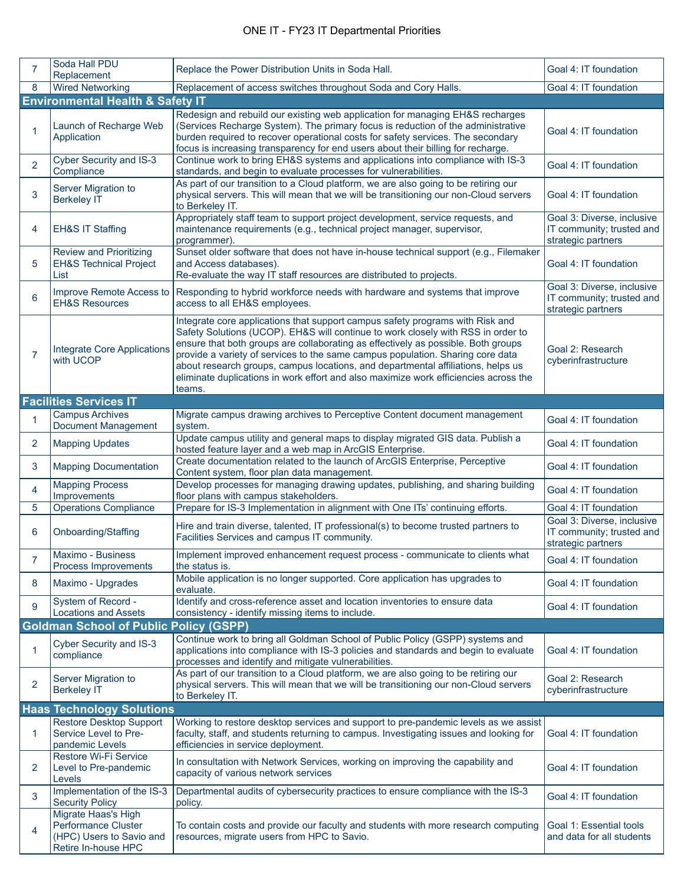| $\overline{7}$ | Soda Hall PDU<br>Replacement                                                                         | Replace the Power Distribution Units in Soda Hall.                                                                                                                                                                                                                                                                                                                                                                                                                                                                             | Goal 4: IT foundation                                                         |  |  |
|----------------|------------------------------------------------------------------------------------------------------|--------------------------------------------------------------------------------------------------------------------------------------------------------------------------------------------------------------------------------------------------------------------------------------------------------------------------------------------------------------------------------------------------------------------------------------------------------------------------------------------------------------------------------|-------------------------------------------------------------------------------|--|--|
| 8              | <b>Wired Networking</b>                                                                              | Replacement of access switches throughout Soda and Cory Halls.                                                                                                                                                                                                                                                                                                                                                                                                                                                                 | Goal 4: IT foundation                                                         |  |  |
|                | <b>Environmental Health &amp; Safety IT</b>                                                          |                                                                                                                                                                                                                                                                                                                                                                                                                                                                                                                                |                                                                               |  |  |
|                | Launch of Recharge Web<br>Application                                                                | Redesign and rebuild our existing web application for managing EH&S recharges<br>(Services Recharge System). The primary focus is reduction of the administrative<br>burden required to recover operational costs for safety services. The secondary<br>focus is increasing transparency for end users about their billing for recharge.                                                                                                                                                                                       | Goal 4: IT foundation                                                         |  |  |
| $\overline{2}$ | Cyber Security and IS-3<br>Compliance                                                                | Continue work to bring EH&S systems and applications into compliance with IS-3<br>standards, and begin to evaluate processes for vulnerabilities.                                                                                                                                                                                                                                                                                                                                                                              | Goal 4: IT foundation                                                         |  |  |
| 3              | Server Migration to<br><b>Berkeley IT</b>                                                            | As part of our transition to a Cloud platform, we are also going to be retiring our<br>physical servers. This will mean that we will be transitioning our non-Cloud servers<br>to Berkeley IT.                                                                                                                                                                                                                                                                                                                                 | Goal 4: IT foundation                                                         |  |  |
| 4              | <b>EH&amp;S IT Staffing</b>                                                                          | Appropriately staff team to support project development, service requests, and<br>maintenance requirements (e.g., technical project manager, supervisor,<br>programmer).                                                                                                                                                                                                                                                                                                                                                       | Goal 3: Diverse, inclusive<br>IT community; trusted and<br>strategic partners |  |  |
| 5              | <b>Review and Prioritizing</b><br><b>EH&amp;S Technical Project</b><br>List                          | Sunset older software that does not have in-house technical support (e.g., Filemaker<br>and Access databases).<br>Re-evaluate the way IT staff resources are distributed to projects.                                                                                                                                                                                                                                                                                                                                          | Goal 4: IT foundation                                                         |  |  |
| 6              | Improve Remote Access to<br><b>EH&amp;S Resources</b>                                                | Responding to hybrid workforce needs with hardware and systems that improve<br>access to all EH&S employees.                                                                                                                                                                                                                                                                                                                                                                                                                   | Goal 3: Diverse, inclusive<br>IT community; trusted and<br>strategic partners |  |  |
| $\overline{7}$ | <b>Integrate Core Applications</b><br>with UCOP                                                      | Integrate core applications that support campus safety programs with Risk and<br>Safety Solutions (UCOP). EH&S will continue to work closely with RSS in order to<br>ensure that both groups are collaborating as effectively as possible. Both groups<br>provide a variety of services to the same campus population. Sharing core data<br>about research groups, campus locations, and departmental affiliations, helps us<br>eliminate duplications in work effort and also maximize work efficiencies across the<br>teams. | Goal 2: Research<br>cyberinfrastructure                                       |  |  |
|                | <b>Facilities Services IT</b>                                                                        |                                                                                                                                                                                                                                                                                                                                                                                                                                                                                                                                |                                                                               |  |  |
|                | <b>Campus Archives</b><br><b>Document Management</b>                                                 | Migrate campus drawing archives to Perceptive Content document management<br>system.                                                                                                                                                                                                                                                                                                                                                                                                                                           | Goal 4: IT foundation                                                         |  |  |
| $\overline{2}$ | <b>Mapping Updates</b>                                                                               | Update campus utility and general maps to display migrated GIS data. Publish a<br>hosted feature layer and a web map in ArcGIS Enterprise.                                                                                                                                                                                                                                                                                                                                                                                     | Goal 4: IT foundation                                                         |  |  |
| 3              | <b>Mapping Documentation</b>                                                                         | Create documentation related to the launch of ArcGIS Enterprise, Perceptive<br>Content system, floor plan data management.                                                                                                                                                                                                                                                                                                                                                                                                     | Goal 4: IT foundation                                                         |  |  |
| 4              | <b>Mapping Process</b><br>Improvements                                                               | Develop processes for managing drawing updates, publishing, and sharing building<br>floor plans with campus stakeholders.                                                                                                                                                                                                                                                                                                                                                                                                      | Goal 4: IT foundation                                                         |  |  |
| 5              | Operations Compliance                                                                                | Prepare for IS-3 Implementation in alignment with One ITs' continuing efforts.                                                                                                                                                                                                                                                                                                                                                                                                                                                 | Goal 4: IT foundation                                                         |  |  |
| 6              | Onboarding/Staffing                                                                                  | Hire and train diverse, talented, IT professional(s) to become trusted partners to<br>Facilities Services and campus IT community.                                                                                                                                                                                                                                                                                                                                                                                             | Goal 3: Diverse, inclusive<br>IT community; trusted and<br>strategic partners |  |  |
|                | Maximo - Business<br>Process Improvements                                                            | Implement improved enhancement request process - communicate to clients what<br>the status is.                                                                                                                                                                                                                                                                                                                                                                                                                                 | Goal 4: IT foundation                                                         |  |  |
| 8              | Maximo - Upgrades                                                                                    | Mobile application is no longer supported. Core application has upgrades to<br>evaluate.                                                                                                                                                                                                                                                                                                                                                                                                                                       | Goal 4: IT foundation                                                         |  |  |
| 9              | System of Record -<br><b>Locations and Assets</b>                                                    | Identify and cross-reference asset and location inventories to ensure data<br>consistency - identify missing items to include.                                                                                                                                                                                                                                                                                                                                                                                                 | Goal 4: IT foundation                                                         |  |  |
|                | <b>Goldman School of Public Policy (GSPP)</b>                                                        |                                                                                                                                                                                                                                                                                                                                                                                                                                                                                                                                |                                                                               |  |  |
| 1              | Cyber Security and IS-3<br>compliance                                                                | Continue work to bring all Goldman School of Public Policy (GSPP) systems and<br>applications into compliance with IS-3 policies and standards and begin to evaluate<br>processes and identify and mitigate vulnerabilities.                                                                                                                                                                                                                                                                                                   | Goal 4: IT foundation                                                         |  |  |
| 2              | Server Migration to<br><b>Berkeley IT</b>                                                            | As part of our transition to a Cloud platform, we are also going to be retiring our<br>physical servers. This will mean that we will be transitioning our non-Cloud servers<br>to Berkeley IT.                                                                                                                                                                                                                                                                                                                                 | Goal 2: Research<br>cyberinfrastructure                                       |  |  |
|                | <b>Haas Technology Solutions</b>                                                                     |                                                                                                                                                                                                                                                                                                                                                                                                                                                                                                                                |                                                                               |  |  |
| 1              | <b>Restore Desktop Support</b><br>Service Level to Pre-<br>pandemic Levels                           | Working to restore desktop services and support to pre-pandemic levels as we assist<br>faculty, staff, and students returning to campus. Investigating issues and looking for<br>efficiencies in service deployment.                                                                                                                                                                                                                                                                                                           | Goal 4: IT foundation                                                         |  |  |
| 2              | Restore Wi-Fi Service<br>Level to Pre-pandemic<br>Levels                                             | In consultation with Network Services, working on improving the capability and<br>capacity of various network services                                                                                                                                                                                                                                                                                                                                                                                                         | Goal 4: IT foundation                                                         |  |  |
| 3              | Implementation of the IS-3<br><b>Security Policy</b>                                                 | Departmental audits of cybersecurity practices to ensure compliance with the IS-3<br>policy.                                                                                                                                                                                                                                                                                                                                                                                                                                   | Goal 4: IT foundation                                                         |  |  |
| 4              | Migrate Haas's High<br><b>Performance Cluster</b><br>(HPC) Users to Savio and<br>Retire In-house HPC | To contain costs and provide our faculty and students with more research computing<br>resources, migrate users from HPC to Savio.                                                                                                                                                                                                                                                                                                                                                                                              | Goal 1: Essential tools<br>and data for all students                          |  |  |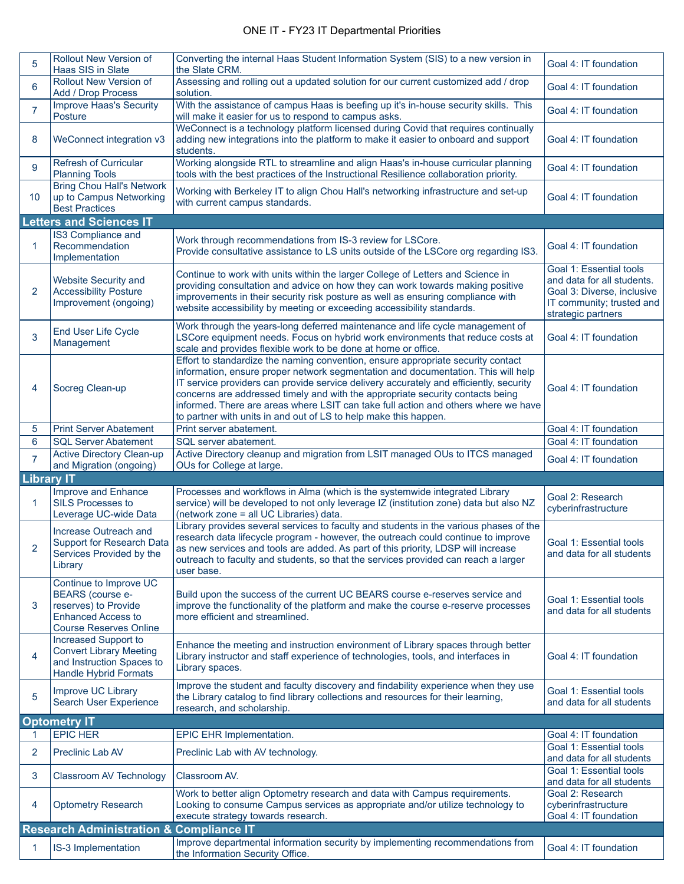## ONE IT - FY23 IT Departmental Priorities

| 5                 | <b>Rollout New Version of</b><br>Haas SIS in Slate                                                                                      | Converting the internal Haas Student Information System (SIS) to a new version in<br>the Slate CRM.                                                                                                                                                                                                                                                                                                                                                                                                         | Goal 4: IT foundation                                                                                                                  |
|-------------------|-----------------------------------------------------------------------------------------------------------------------------------------|-------------------------------------------------------------------------------------------------------------------------------------------------------------------------------------------------------------------------------------------------------------------------------------------------------------------------------------------------------------------------------------------------------------------------------------------------------------------------------------------------------------|----------------------------------------------------------------------------------------------------------------------------------------|
| 6                 | Rollout New Version of<br>Add / Drop Process                                                                                            | Assessing and rolling out a updated solution for our current customized add / drop<br>solution.                                                                                                                                                                                                                                                                                                                                                                                                             | Goal 4: IT foundation                                                                                                                  |
| $\overline{7}$    | Improve Haas's Security<br>Posture                                                                                                      | With the assistance of campus Haas is beefing up it's in-house security skills. This<br>will make it easier for us to respond to campus asks.                                                                                                                                                                                                                                                                                                                                                               | Goal 4: IT foundation                                                                                                                  |
| 8                 | WeConnect integration v3                                                                                                                | WeConnect is a technology platform licensed during Covid that requires continually<br>adding new integrations into the platform to make it easier to onboard and support<br>students.                                                                                                                                                                                                                                                                                                                       | Goal 4: IT foundation                                                                                                                  |
| 9                 | Refresh of Curricular<br><b>Planning Tools</b>                                                                                          | Working alongside RTL to streamline and align Haas's in-house curricular planning<br>tools with the best practices of the Instructional Resilience collaboration priority.                                                                                                                                                                                                                                                                                                                                  | Goal 4: IT foundation                                                                                                                  |
| 10                | <b>Bring Chou Hall's Network</b><br>up to Campus Networking<br><b>Best Practices</b>                                                    | Working with Berkeley IT to align Chou Hall's networking infrastructure and set-up<br>with current campus standards.                                                                                                                                                                                                                                                                                                                                                                                        | Goal 4: IT foundation                                                                                                                  |
|                   | <b>Letters and Sciences IT</b>                                                                                                          |                                                                                                                                                                                                                                                                                                                                                                                                                                                                                                             |                                                                                                                                        |
| 1                 | IS3 Compliance and<br>Recommendation<br>Implementation                                                                                  | Work through recommendations from IS-3 review for LSCore.<br>Provide consultative assistance to LS units outside of the LSCore org regarding IS3.                                                                                                                                                                                                                                                                                                                                                           | Goal 4: IT foundation                                                                                                                  |
| 2                 | <b>Website Security and</b><br><b>Accessibility Posture</b><br>Improvement (ongoing)                                                    | Continue to work with units within the larger College of Letters and Science in<br>providing consultation and advice on how they can work towards making positive<br>improvements in their security risk posture as well as ensuring compliance with<br>website accessibility by meeting or exceeding accessibility standards.                                                                                                                                                                              | Goal 1: Essential tools<br>and data for all students.<br>Goal 3: Diverse, inclusive<br>IT community; trusted and<br>strategic partners |
| 3                 | End User Life Cycle<br>Management                                                                                                       | Work through the years-long deferred maintenance and life cycle management of<br>LSCore equipment needs. Focus on hybrid work environments that reduce costs at<br>scale and provides flexible work to be done at home or office.                                                                                                                                                                                                                                                                           | Goal 4: IT foundation                                                                                                                  |
| 4                 | Socreg Clean-up                                                                                                                         | Effort to standardize the naming convention, ensure appropriate security contact<br>information, ensure proper network segmentation and documentation. This will help<br>IT service providers can provide service delivery accurately and efficiently, security<br>concerns are addressed timely and with the appropriate security contacts being<br>informed. There are areas where LSIT can take full action and others where we have<br>to partner with units in and out of LS to help make this happen. | Goal 4: IT foundation                                                                                                                  |
| 5                 | <b>Print Server Abatement</b>                                                                                                           | Print server abatement.                                                                                                                                                                                                                                                                                                                                                                                                                                                                                     | Goal 4: IT foundation                                                                                                                  |
| 6                 | <b>SQL Server Abatement</b>                                                                                                             | SQL server abatement.                                                                                                                                                                                                                                                                                                                                                                                                                                                                                       | Goal 4: IT foundation                                                                                                                  |
| $\overline{7}$    | Active Directory Clean-up<br>and Migration (ongoing)                                                                                    | Active Directory cleanup and migration from LSIT managed OUs to ITCS managed<br>OUs for College at large.                                                                                                                                                                                                                                                                                                                                                                                                   | Goal 4: IT foundation                                                                                                                  |
| <b>Library IT</b> |                                                                                                                                         |                                                                                                                                                                                                                                                                                                                                                                                                                                                                                                             |                                                                                                                                        |
| 1                 | Improve and Enhance<br><b>SILS Processes to</b><br>Leverage UC-wide Data                                                                | Processes and workflows in Alma (which is the systemwide integrated Library<br>service) will be developed to not only leverage IZ (institution zone) data but also NZ<br>(network zone = all UC Libraries) data.                                                                                                                                                                                                                                                                                            | Goal 2: Research<br>cyberinfrastructure                                                                                                |
| 2                 | Increase Outreach and<br><b>Support for Research Data</b><br>Services Provided by the<br>Library                                        | Library provides several services to faculty and students in the various phases of the<br>research data lifecycle program - however, the outreach could continue to improve<br>as new services and tools are added. As part of this priority, LDSP will increase<br>outreach to faculty and students, so that the services provided can reach a larger<br>user base.                                                                                                                                        | Goal 1: Essential tools<br>and data for all students                                                                                   |
| 3                 | Continue to Improve UC<br><b>BEARS</b> (course e-<br>reserves) to Provide<br><b>Enhanced Access to</b><br><b>Course Reserves Online</b> | Build upon the success of the current UC BEARS course e-reserves service and<br>improve the functionality of the platform and make the course e-reserve processes<br>more efficient and streamlined.                                                                                                                                                                                                                                                                                                        | Goal 1: Essential tools<br>and data for all students                                                                                   |
| 4                 | Increased Support to<br><b>Convert Library Meeting</b><br>and Instruction Spaces to<br><b>Handle Hybrid Formats</b>                     | Enhance the meeting and instruction environment of Library spaces through better<br>Library instructor and staff experience of technologies, tools, and interfaces in<br>Library spaces.                                                                                                                                                                                                                                                                                                                    | Goal 4: IT foundation                                                                                                                  |
| 5                 | Improve UC Library<br>Search User Experience                                                                                            | Improve the student and faculty discovery and findability experience when they use<br>the Library catalog to find library collections and resources for their learning,<br>research, and scholarship.                                                                                                                                                                                                                                                                                                       | Goal 1: Essential tools<br>and data for all students                                                                                   |
|                   | <b>Optometry IT</b>                                                                                                                     |                                                                                                                                                                                                                                                                                                                                                                                                                                                                                                             |                                                                                                                                        |
| 1                 | <b>EPIC HER</b>                                                                                                                         | EPIC EHR Implementation.                                                                                                                                                                                                                                                                                                                                                                                                                                                                                    | Goal 4: IT foundation                                                                                                                  |
| 2                 | Preclinic Lab AV                                                                                                                        | Preclinic Lab with AV technology.                                                                                                                                                                                                                                                                                                                                                                                                                                                                           | Goal 1: Essential tools<br>and data for all students                                                                                   |
| 3                 | Classroom AV Technology                                                                                                                 | Classroom AV.                                                                                                                                                                                                                                                                                                                                                                                                                                                                                               | Goal 1: Essential tools<br>and data for all students<br>Goal 2: Research                                                               |
| 4                 | <b>Optometry Research</b>                                                                                                               | Work to better align Optometry research and data with Campus requirements.<br>Looking to consume Campus services as appropriate and/or utilize technology to<br>execute strategy towards research.                                                                                                                                                                                                                                                                                                          | cyberinfrastructure<br>Goal 4: IT foundation                                                                                           |
|                   | <b>Research Administration &amp; Compliance IT</b>                                                                                      |                                                                                                                                                                                                                                                                                                                                                                                                                                                                                                             |                                                                                                                                        |
|                   |                                                                                                                                         | Improve departmental information security by implementing recommendations from                                                                                                                                                                                                                                                                                                                                                                                                                              |                                                                                                                                        |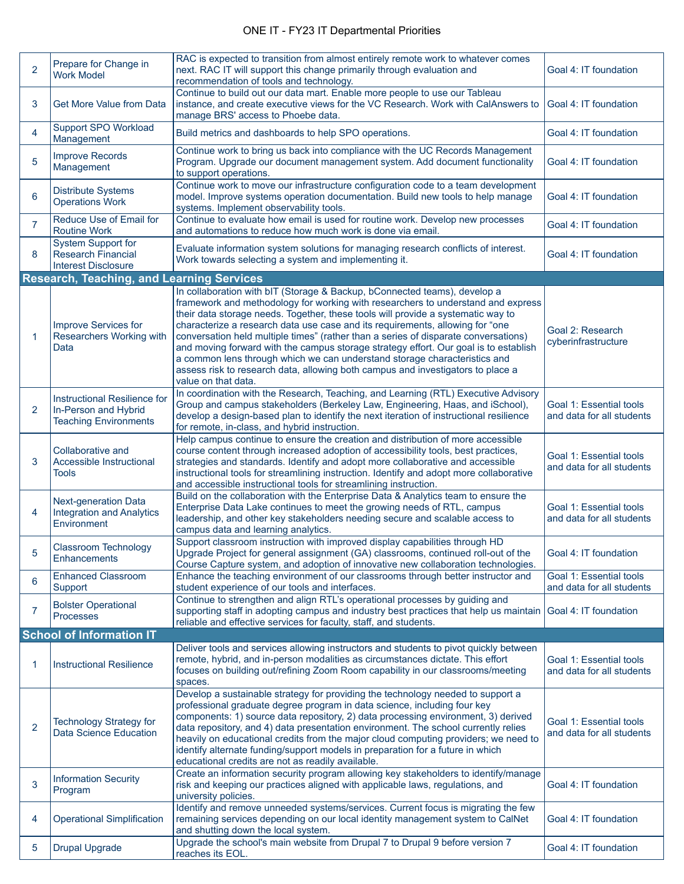|                                 |                                                                                             | RAC is expected to transition from almost entirely remote work to whatever comes                                                                                                                                                                                                                                                                                                                                                                                                                                                                                                                                                                                                                         |                                                      |  |
|---------------------------------|---------------------------------------------------------------------------------------------|----------------------------------------------------------------------------------------------------------------------------------------------------------------------------------------------------------------------------------------------------------------------------------------------------------------------------------------------------------------------------------------------------------------------------------------------------------------------------------------------------------------------------------------------------------------------------------------------------------------------------------------------------------------------------------------------------------|------------------------------------------------------|--|
| $\overline{2}$                  | Prepare for Change in<br><b>Work Model</b>                                                  | next. RAC IT will support this change primarily through evaluation and<br>recommendation of tools and technology.                                                                                                                                                                                                                                                                                                                                                                                                                                                                                                                                                                                        | Goal 4: IT foundation                                |  |
| 3                               | <b>Get More Value from Data</b>                                                             | Continue to build out our data mart. Enable more people to use our Tableau<br>instance, and create executive views for the VC Research. Work with CalAnswers to<br>manage BRS' access to Phoebe data.                                                                                                                                                                                                                                                                                                                                                                                                                                                                                                    | Goal 4: IT foundation                                |  |
| 4                               | Support SPO Workload<br>Management                                                          | Build metrics and dashboards to help SPO operations.                                                                                                                                                                                                                                                                                                                                                                                                                                                                                                                                                                                                                                                     | Goal 4: IT foundation                                |  |
| 5                               | <b>Improve Records</b><br>Management                                                        | Continue work to bring us back into compliance with the UC Records Management<br>Program. Upgrade our document management system. Add document functionality<br>to support operations.                                                                                                                                                                                                                                                                                                                                                                                                                                                                                                                   | Goal 4: IT foundation                                |  |
| 6                               | <b>Distribute Systems</b><br><b>Operations Work</b>                                         | Continue work to move our infrastructure configuration code to a team development<br>model. Improve systems operation documentation. Build new tools to help manage<br>systems. Implement observability tools.                                                                                                                                                                                                                                                                                                                                                                                                                                                                                           | Goal 4: IT foundation                                |  |
| $\overline{7}$                  | Reduce Use of Email for<br><b>Routine Work</b>                                              | Continue to evaluate how email is used for routine work. Develop new processes<br>and automations to reduce how much work is done via email.                                                                                                                                                                                                                                                                                                                                                                                                                                                                                                                                                             | Goal 4: IT foundation                                |  |
| 8                               | <b>System Support for</b><br><b>Research Financial</b><br><b>Interest Disclosure</b>        | Evaluate information system solutions for managing research conflicts of interest.<br>Work towards selecting a system and implementing it.                                                                                                                                                                                                                                                                                                                                                                                                                                                                                                                                                               | Goal 4: IT foundation                                |  |
|                                 | <b>Research, Teaching, and Learning Services</b>                                            |                                                                                                                                                                                                                                                                                                                                                                                                                                                                                                                                                                                                                                                                                                          |                                                      |  |
| 1                               | Improve Services for<br>Researchers Working with<br>Data                                    | In collaboration with bIT (Storage & Backup, bConnected teams), develop a<br>framework and methodology for working with researchers to understand and express<br>their data storage needs. Together, these tools will provide a systematic way to<br>characterize a research data use case and its requirements, allowing for "one<br>conversation held multiple times" (rather than a series of disparate conversations)<br>and moving forward with the campus storage strategy effort. Our goal is to establish<br>a common lens through which we can understand storage characteristics and<br>assess risk to research data, allowing both campus and investigators to place a<br>value on that data. | Goal 2: Research<br>cyberinfrastructure              |  |
| $\overline{2}$                  | <b>Instructional Resilience for</b><br>In-Person and Hybrid<br><b>Teaching Environments</b> | In coordination with the Research, Teaching, and Learning (RTL) Executive Advisory<br>Group and campus stakeholders (Berkeley Law, Engineering, Haas, and iSchool),<br>develop a design-based plan to identify the next iteration of instructional resilience<br>for remote, in-class, and hybrid instruction.                                                                                                                                                                                                                                                                                                                                                                                           | Goal 1: Essential tools<br>and data for all students |  |
| 3                               | Collaborative and<br>Accessible Instructional<br><b>Tools</b>                               | Help campus continue to ensure the creation and distribution of more accessible<br>course content through increased adoption of accessibility tools, best practices,<br>strategies and standards. Identify and adopt more collaborative and accessible<br>instructional tools for streamlining instruction. Identify and adopt more collaborative<br>and accessible instructional tools for streamlining instruction.                                                                                                                                                                                                                                                                                    | Goal 1: Essential tools<br>and data for all students |  |
| 4                               | <b>Next-generation Data</b><br><b>Integration and Analytics</b><br>Environment              | Build on the collaboration with the Enterprise Data & Analytics team to ensure the<br>Enterprise Data Lake continues to meet the growing needs of RTL, campus<br>leadership, and other key stakeholders needing secure and scalable access to<br>campus data and learning analytics.                                                                                                                                                                                                                                                                                                                                                                                                                     | Goal 1: Essential tools<br>and data for all students |  |
| 5                               | Classroom Technology<br><b>Enhancements</b>                                                 | Support classroom instruction with improved display capabilities through HD<br>Upgrade Project for general assignment (GA) classrooms, continued roll-out of the<br>Course Capture system, and adoption of innovative new collaboration technologies.                                                                                                                                                                                                                                                                                                                                                                                                                                                    | Goal 4: IT foundation                                |  |
| 6                               | <b>Enhanced Classroom</b><br>Support                                                        | Enhance the teaching environment of our classrooms through better instructor and<br>student experience of our tools and interfaces.                                                                                                                                                                                                                                                                                                                                                                                                                                                                                                                                                                      | Goal 1: Essential tools<br>and data for all students |  |
| 7                               | <b>Bolster Operational</b><br><b>Processes</b>                                              | Continue to strengthen and align RTL's operational processes by guiding and<br>supporting staff in adopting campus and industry best practices that help us maintain<br>reliable and effective services for faculty, staff, and students.                                                                                                                                                                                                                                                                                                                                                                                                                                                                | Goal 4: IT foundation                                |  |
| <b>School of Information IT</b> |                                                                                             |                                                                                                                                                                                                                                                                                                                                                                                                                                                                                                                                                                                                                                                                                                          |                                                      |  |
| 1                               | <b>Instructional Resilience</b>                                                             | Deliver tools and services allowing instructors and students to pivot quickly between<br>remote, hybrid, and in-person modalities as circumstances dictate. This effort<br>focuses on building out/refining Zoom Room capability in our classrooms/meeting<br>spaces.                                                                                                                                                                                                                                                                                                                                                                                                                                    | Goal 1: Essential tools<br>and data for all students |  |
| 2                               | <b>Technology Strategy for</b><br>Data Science Education                                    | Develop a sustainable strategy for providing the technology needed to support a<br>professional graduate degree program in data science, including four key<br>components: 1) source data repository, 2) data processing environment, 3) derived<br>data repository, and 4) data presentation environment. The school currently relies<br>heavily on educational credits from the major cloud computing providers; we need to<br>identify alternate funding/support models in preparation for a future in which<br>educational credits are not as readily available.                                                                                                                                     | Goal 1: Essential tools<br>and data for all students |  |
| 3                               | <b>Information Security</b><br>Program                                                      | Create an information security program allowing key stakeholders to identify/manage<br>risk and keeping our practices aligned with applicable laws, regulations, and<br>university policies.                                                                                                                                                                                                                                                                                                                                                                                                                                                                                                             | Goal 4: IT foundation                                |  |
| 4                               | <b>Operational Simplification</b>                                                           | Identify and remove unneeded systems/services. Current focus is migrating the few<br>remaining services depending on our local identity management system to CalNet<br>and shutting down the local system.                                                                                                                                                                                                                                                                                                                                                                                                                                                                                               | Goal 4: IT foundation                                |  |
| 5                               | <b>Drupal Upgrade</b>                                                                       | Upgrade the school's main website from Drupal 7 to Drupal 9 before version 7<br>reaches its EOL.                                                                                                                                                                                                                                                                                                                                                                                                                                                                                                                                                                                                         | Goal 4: IT foundation                                |  |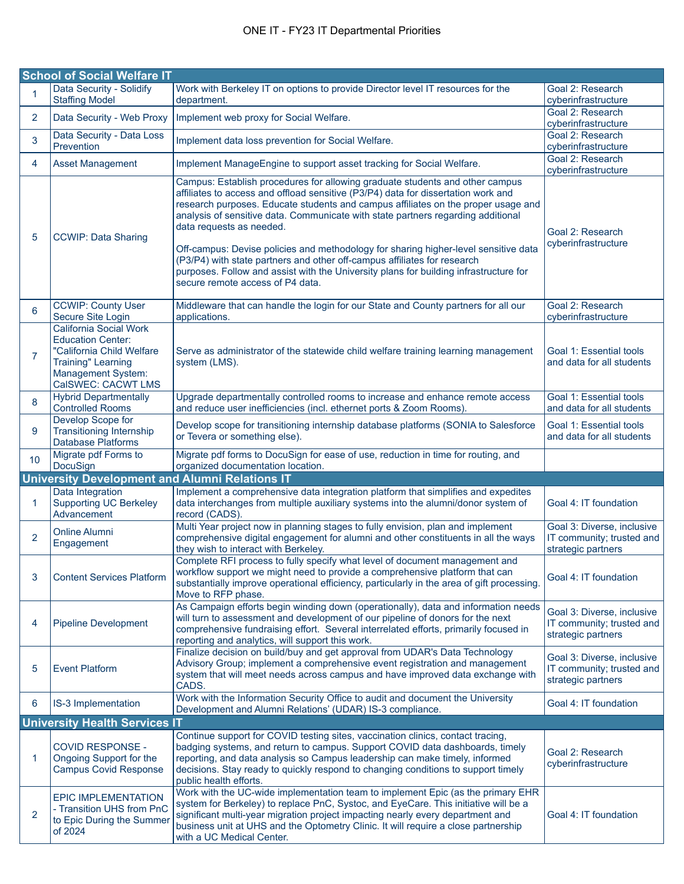|                 | <b>School of Social Welfare IT</b>                                                                                                                              |                                                                                                                                                                                                                                                                                                                                                                                                                                                                                                                                                                                                                                                                        |                                                                               |
|-----------------|-----------------------------------------------------------------------------------------------------------------------------------------------------------------|------------------------------------------------------------------------------------------------------------------------------------------------------------------------------------------------------------------------------------------------------------------------------------------------------------------------------------------------------------------------------------------------------------------------------------------------------------------------------------------------------------------------------------------------------------------------------------------------------------------------------------------------------------------------|-------------------------------------------------------------------------------|
| 1               | Data Security - Solidify<br><b>Staffing Model</b>                                                                                                               | Work with Berkeley IT on options to provide Director level IT resources for the<br>department.                                                                                                                                                                                                                                                                                                                                                                                                                                                                                                                                                                         | Goal 2: Research<br>cyberinfrastructure                                       |
| $\overline{2}$  | Data Security - Web Proxy                                                                                                                                       | Implement web proxy for Social Welfare.                                                                                                                                                                                                                                                                                                                                                                                                                                                                                                                                                                                                                                | Goal 2: Research<br>cyberinfrastructure                                       |
| 3               | Data Security - Data Loss<br>Prevention                                                                                                                         | Implement data loss prevention for Social Welfare.                                                                                                                                                                                                                                                                                                                                                                                                                                                                                                                                                                                                                     | Goal 2: Research<br>cyberinfrastructure                                       |
| 4               | <b>Asset Management</b>                                                                                                                                         | Implement ManageEngine to support asset tracking for Social Welfare.                                                                                                                                                                                                                                                                                                                                                                                                                                                                                                                                                                                                   | Goal 2: Research<br>cyberinfrastructure                                       |
| 5               | <b>CCWIP: Data Sharing</b>                                                                                                                                      | Campus: Establish procedures for allowing graduate students and other campus<br>affiliates to access and offload sensitive (P3/P4) data for dissertation work and<br>research purposes. Educate students and campus affiliates on the proper usage and<br>analysis of sensitive data. Communicate with state partners regarding additional<br>data requests as needed.<br>Off-campus: Devise policies and methodology for sharing higher-level sensitive data<br>(P3/P4) with state partners and other off-campus affiliates for research<br>purposes. Follow and assist with the University plans for building infrastructure for<br>secure remote access of P4 data. | Goal 2: Research<br>cyberinfrastructure                                       |
| 6               | <b>CCWIP: County User</b><br>Secure Site Login                                                                                                                  | Middleware that can handle the login for our State and County partners for all our<br>applications.                                                                                                                                                                                                                                                                                                                                                                                                                                                                                                                                                                    | Goal 2: Research<br>cyberinfrastructure                                       |
| $\overline{7}$  | California Social Work<br><b>Education Center:</b><br>"California Child Welfare<br><b>Training" Learning</b><br><b>Management System:</b><br>CalSWEC: CACWT LMS | Serve as administrator of the statewide child welfare training learning management<br>system (LMS).                                                                                                                                                                                                                                                                                                                                                                                                                                                                                                                                                                    | Goal 1: Essential tools<br>and data for all students                          |
| 8               | <b>Hybrid Departmentally</b><br><b>Controlled Rooms</b>                                                                                                         | Upgrade departmentally controlled rooms to increase and enhance remote access<br>and reduce user inefficiencies (incl. ethernet ports & Zoom Rooms).                                                                                                                                                                                                                                                                                                                                                                                                                                                                                                                   | Goal 1: Essential tools<br>and data for all students                          |
| 9               | Develop Scope for<br><b>Transitioning Internship</b><br><b>Database Platforms</b>                                                                               | Develop scope for transitioning internship database platforms (SONIA to Salesforce<br>or Tevera or something else).                                                                                                                                                                                                                                                                                                                                                                                                                                                                                                                                                    | Goal 1: Essential tools<br>and data for all students                          |
| 10 <sup>°</sup> | Migrate pdf Forms to<br>DocuSign                                                                                                                                | Migrate pdf forms to DocuSign for ease of use, reduction in time for routing, and<br>organized documentation location.                                                                                                                                                                                                                                                                                                                                                                                                                                                                                                                                                 |                                                                               |
|                 | <b>University Development and Alumni Relations IT</b>                                                                                                           |                                                                                                                                                                                                                                                                                                                                                                                                                                                                                                                                                                                                                                                                        |                                                                               |
| 1               | Data Integration<br><b>Supporting UC Berkeley</b><br>Advancement                                                                                                | Implement a comprehensive data integration platform that simplifies and expedites<br>data interchanges from multiple auxiliary systems into the alumni/donor system of<br>record (CADS).                                                                                                                                                                                                                                                                                                                                                                                                                                                                               | Goal 4: IT foundation                                                         |
| $\overline{2}$  | <b>Online Alumni</b><br>Engagement                                                                                                                              | Multi Year project now in planning stages to fully envision, plan and implement<br>comprehensive digital engagement for alumni and other constituents in all the ways<br>they wish to interact with Berkeley.                                                                                                                                                                                                                                                                                                                                                                                                                                                          | Goal 3: Diverse, inclusive<br>IT community; trusted and<br>strategic partners |
| 3               | <b>Content Services Platform</b>                                                                                                                                | Complete RFI process to fully specify what level of document management and<br>workflow support we might need to provide a comprehensive platform that can<br>substantially improve operational efficiency, particularly in the area of gift processing<br>Move to RFP phase.                                                                                                                                                                                                                                                                                                                                                                                          | Goal 4: IT foundation                                                         |
| 4               | <b>Pipeline Development</b>                                                                                                                                     | As Campaign efforts begin winding down (operationally), data and information needs<br>will turn to assessment and development of our pipeline of donors for the next<br>comprehensive fundraising effort. Several interrelated efforts, primarily focused in<br>reporting and analytics, will support this work.                                                                                                                                                                                                                                                                                                                                                       | Goal 3: Diverse, inclusive<br>IT community; trusted and<br>strategic partners |
| 5               | <b>Event Platform</b>                                                                                                                                           | Finalize decision on build/buy and get approval from UDAR's Data Technology<br>Advisory Group; implement a comprehensive event registration and management<br>system that will meet needs across campus and have improved data exchange with<br>CADS.                                                                                                                                                                                                                                                                                                                                                                                                                  | Goal 3: Diverse, inclusive<br>IT community; trusted and<br>strategic partners |
| 6               | IS-3 Implementation                                                                                                                                             | Work with the Information Security Office to audit and document the University<br>Development and Alumni Relations' (UDAR) IS-3 compliance.                                                                                                                                                                                                                                                                                                                                                                                                                                                                                                                            | Goal 4: IT foundation                                                         |
|                 | <b>University Health Services IT</b>                                                                                                                            |                                                                                                                                                                                                                                                                                                                                                                                                                                                                                                                                                                                                                                                                        |                                                                               |
| 1               | <b>COVID RESPONSE -</b><br>Ongoing Support for the<br><b>Campus Covid Response</b>                                                                              | Continue support for COVID testing sites, vaccination clinics, contact tracing,<br>badging systems, and return to campus. Support COVID data dashboards, timely<br>reporting, and data analysis so Campus leadership can make timely, informed<br>decisions. Stay ready to quickly respond to changing conditions to support timely<br>public health efforts.                                                                                                                                                                                                                                                                                                          | Goal 2: Research<br>cyberinfrastructure                                       |
| 2               | <b>EPIC IMPLEMENTATION</b><br>- Transition UHS from PnC<br>to Epic During the Summer<br>of 2024                                                                 | Work with the UC-wide implementation team to implement Epic (as the primary EHR<br>system for Berkeley) to replace PnC, Systoc, and EyeCare. This initiative will be a<br>significant multi-year migration project impacting nearly every department and<br>business unit at UHS and the Optometry Clinic. It will require a close partnership<br>with a UC Medical Center.                                                                                                                                                                                                                                                                                            | Goal 4: IT foundation                                                         |